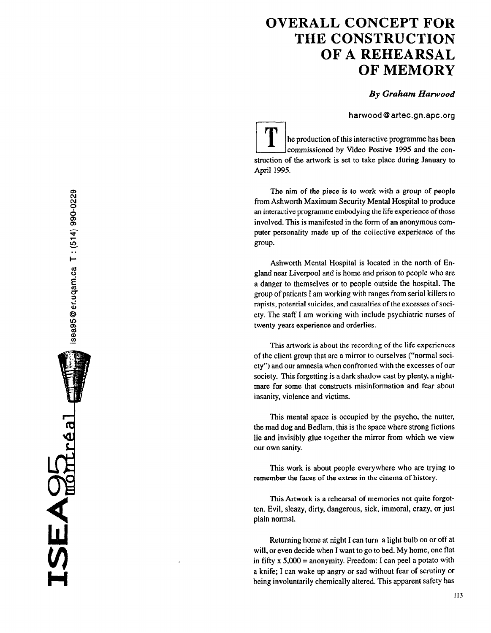## OVERALL CONCEPT FOR THE CONSTRUCTION OF A REHEARSAL OF MEMORY

## By Graham Hawood

harwood@artec.gn.apc.org

i-T-i he production of this interactive programme has been commissioned by Video Postive 1995 and the construction of the artwork is set to take place during January to April 1995.

The aim of the piece is to work with a group of people from Ashworth Maximum Security Mental Hospital to produce an interactive programme embodying the lifeexperience of those involved. This is manifested in the form of an anonymous computer personality made up of the collective experience of the group.

Ashworth Mental Hospital is located in the north of England near Liverpool and is home and prison to people who are a danger to themselves or to people outside the hospital. The group of patients I am working with ranges from serial killers to rapists, potential suicides, and casualties of the excesses of society. The staff I am working with include psychiatric nurses of twenty years experience and orderlies.

This artwork is about the recording of the life experiences of the client group that are a mirror to ourselves ( "normal society") and our amnesia when confronled with the excesses of our society. This forgetting is a dark shadow cast by plenty, a nightmare for some that constructs misinformation and fear about insanity, violence and victims.

This mental space is occupied by the psycho, the nutter, the mad dog and Bedlam, this is the space where strong fictions lie and invisibly glue together the mirror from which we view our own sanity.

This work is about people everywhere who are trying to remember the faces of the extras in the cinema of history.

This Artwork is a rehearsal of memories not quite forgotten. Evil, sleazy, dirty, dangerous, sick, immoral, crazy, or just plain normal.

Returning home at night I can turn a light bulb on or off at will, or even decide when I want to go to bed. My home, one flat in fifty  $x 5,000 =$  anonymity. Freedom: I can peel a potato with a knife; I can wake up angry or sad without fear of scrutiny or being involuntarily chemically altered. This apparent safety has

H

 $SEABC_{\text{model}}$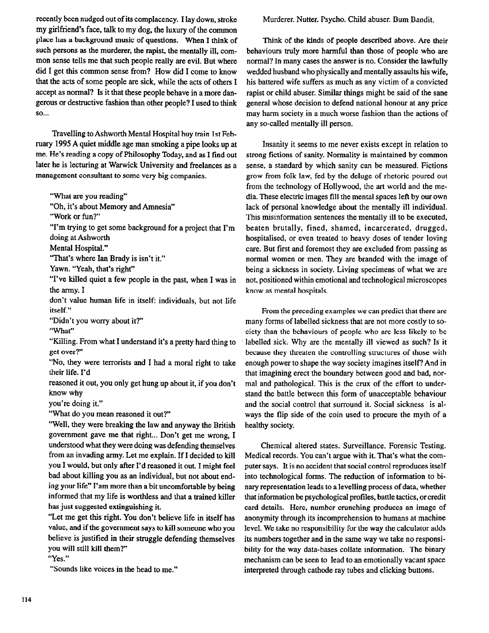recently been nudged out of its complacency. I lay down, stroke my girlfriend's face, talk to my dog, the luxury of the common place has a background music of questions. When I think of such persons as the murderer, the rapist, the mentally ill, common sense tells me that such people really are evil. But where did I get this common sense from? How did I come to know that the acts of some people are sick, while the acts of others I accept as normal? Is it that these people behave in a more dangerous or destructive fashion than other people? I used to think so...

Travelling to Ashworth Mental Hospital buy train 1st February 1995 A quiet middle age man smoking a pipe looks up at me. He's reading a copy of Philosophy Today, and as I find out later he is lecturing at Warwick University and freelances as a management consultant to some very big companies.

"What are you reading"

"Oh, it's about Memory and Amnesia"

"Work or fun?'

"I'm trying to get some background for a project that I'm doing at Ashworth

Mental Hospital."

'That's where Ian Brady is isn't it."

Yawn. "Yeah, that's right"

"I've killed quiet a few people in the past, when I was in the army. I

don't value human life in itself: individuals, but not life itself."

"Didn't you worry about it?"

"What"

"Killing. From what I understand it's a pretty hard thing to get over?'

"No, they were terrorists and I had a moral right to take their life. I'd

reasoned it out, you only get hung up about it, if you don't know why

you're doing it."

"What do you mean reasoned it out?"

"Well, they were breaking the law and anyway the British government gave me that right... Don't get me wrong, I understood what they were doing was defending themselves from an invading army. Let me explain. If I decided to kill you I would, but only after I'd reasoned it out. I might feel bad about killing you as an individual, but not about ending your life" I'am more than a bit uncomfortable by being informed that my life is worthless and that a trained killer has just suggested extinguishing it.

"Let me get this right. You don't believe life in itself has value, and if the government says to kill someone who you believe is justified in their struggle defending themselves you will still kill them?'

"Yes."

"Sounds like voices in the head to me."

Murderer. Nutter. Psycho. Child abuser. Bum Bandit.

Think of the kinds of people described above. Are their behaviours truly more harmful than those of people who are normal? In many cases the answer is no. Consider the lawfully wedded husband who physically and mentally assaults his wife, his battered wife suffers as much as any victim of a convicted rapist or child abuser. Similar things might be said of the sane general whose decision to defend national honour at any price may harm society in a much worse fashion than the actions of any so-called mentally ill person.

Insanity it seems to me never exists except in relation to strong fictions of sanity. Normality is maintained by common sense, a standard by which sanity can be measured. Fictions grow from folk law, fed by the deluge of rhetoric poured out from the technology of Hollywood, the art world and the media. These electric images fill the mental spaces Ieft by our own lack of personal knowledge about the mentally ill individual. This misinformation sentences the mentally ill to be executed, beaten brutally, fined, shamed, incarcerated, drugged, hospitalised, or even treated to heavy doses of tender loving care. But first and foremost they are excluded from passing as normal women or men. They are branded with the image of being a sickness in society. Living specimens of what we are not, positioned within emotional and technological microscopes know as mental hospitals.

From the preceding examples we can predict that there are many forms of labelled sickness that are not more costly to society than the behaviours of people who are less likely to be labelled sick. Why are the mentally ill viewed as such? Is it because they threaten the controlling structures of those with enough power to shape the way society imagines itself? And in that imagining erect the boundary between good and bad, normal and pathological. This is the crux of the effort to understand the battle between this form of unacceptable behaviour and the social control that surround it. Social sickness is always the flip side of the coin used to procure the myth of a healthy society.

Chemical altered states. Surveillance. Forensic Testing. Medical records. You can't argue with it. That's what the computer says. It is no accident that social control reproduces itself into technological forms. The reduction of information to binary representation leads to a levelling process of data, whether that information be psychological profiles, battle tactics, or credit card details. Here, number crunching produces an image of anonymity through its incomprehension to humans at machine level. We take no responsibility for the way the calculator adds its numbers together and in the same way we take no responsibility for the way data-bases collate information. The binary mechanism can be seen to lead to an emotionally vacant space interpreted through cathode ray tubes and clicking buttons.